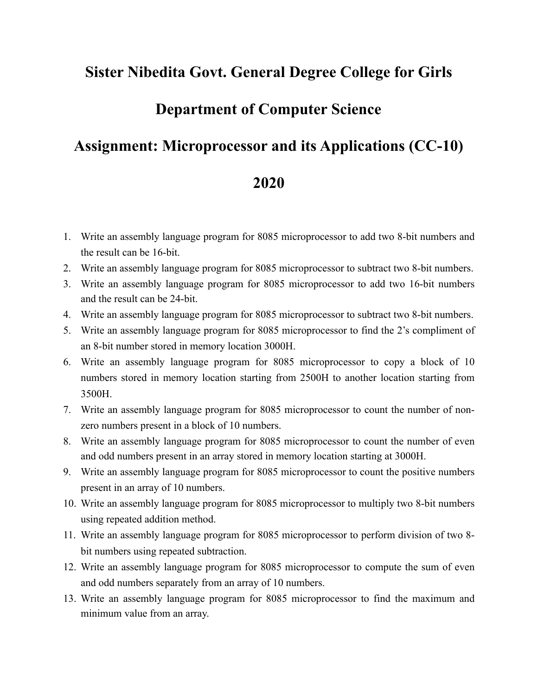## **Sister Nibedita Govt. General Degree College for Girls**

## **Department of Computer Science**

## **Assignment: Microprocessor and its Applications (CC-10)**

## **2020**

- 1. Write an assembly language program for 8085 microprocessor to add two 8-bit numbers and the result can be 16-bit.
- 2. Write an assembly language program for 8085 microprocessor to subtract two 8-bit numbers.
- 3. Write an assembly language program for 8085 microprocessor to add two 16-bit numbers and the result can be 24-bit.
- 4. Write an assembly language program for 8085 microprocessor to subtract two 8-bit numbers.
- 5. Write an assembly language program for 8085 microprocessor to find the 2's compliment of an 8-bit number stored in memory location 3000H.
- 6. Write an assembly language program for 8085 microprocessor to copy a block of 10 numbers stored in memory location starting from 2500H to another location starting from 3500H.
- 7. Write an assembly language program for 8085 microprocessor to count the number of nonzero numbers present in a block of 10 numbers.
- 8. Write an assembly language program for 8085 microprocessor to count the number of even and odd numbers present in an array stored in memory location starting at 3000H.
- 9. Write an assembly language program for 8085 microprocessor to count the positive numbers present in an array of 10 numbers.
- 10. Write an assembly language program for 8085 microprocessor to multiply two 8-bit numbers using repeated addition method.
- 11. Write an assembly language program for 8085 microprocessor to perform division of two 8 bit numbers using repeated subtraction.
- 12. Write an assembly language program for 8085 microprocessor to compute the sum of even and odd numbers separately from an array of 10 numbers.
- 13. Write an assembly language program for 8085 microprocessor to find the maximum and minimum value from an array.